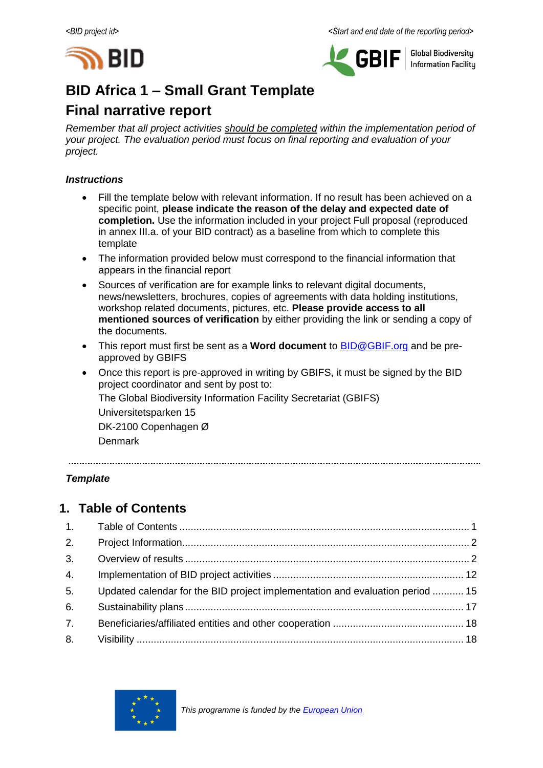



**Global Biodiversity Information Facilitu** 

# **BID Africa 1 – Small Grant Template**

# **Final narrative report**

*Remember that all project activities should be completed within the implementation period of your project. The evaluation period must focus on final reporting and evaluation of your project.*

### *Instructions*

- Fill the template below with relevant information. If no result has been achieved on a specific point, **please indicate the reason of the delay and expected date of completion.** Use the information included in your project Full proposal (reproduced in annex III.a. of your BID contract) as a baseline from which to complete this template
- The information provided below must correspond to the financial information that appears in the financial report
- Sources of verification are for example links to relevant digital documents, news/newsletters, brochures, copies of agreements with data holding institutions, workshop related documents, pictures, etc. **Please provide access to all mentioned sources of verification** by either providing the link or sending a copy of the documents.
- This report must first be sent as a **Word document** to [BID@GBIF.org](mailto:BID@GBIF.org) and be preapproved by GBIFS
- Once this report is pre-approved in writing by GBIFS, it must be signed by the BID project coordinator and sent by post to: The Global Biodiversity Information Facility Secretariat (GBIFS) Universitetsparken 15 DK-2100 Copenhagen Ø Denmark

*Template*

# <span id="page-0-0"></span>**1. Table of Contents**

| 2.             |                                                                               |  |
|----------------|-------------------------------------------------------------------------------|--|
| 3.             |                                                                               |  |
| 4.             |                                                                               |  |
| 5 <sub>1</sub> | Updated calendar for the BID project implementation and evaluation period  15 |  |
| 6.             |                                                                               |  |
| 7.             |                                                                               |  |
| 8.             |                                                                               |  |

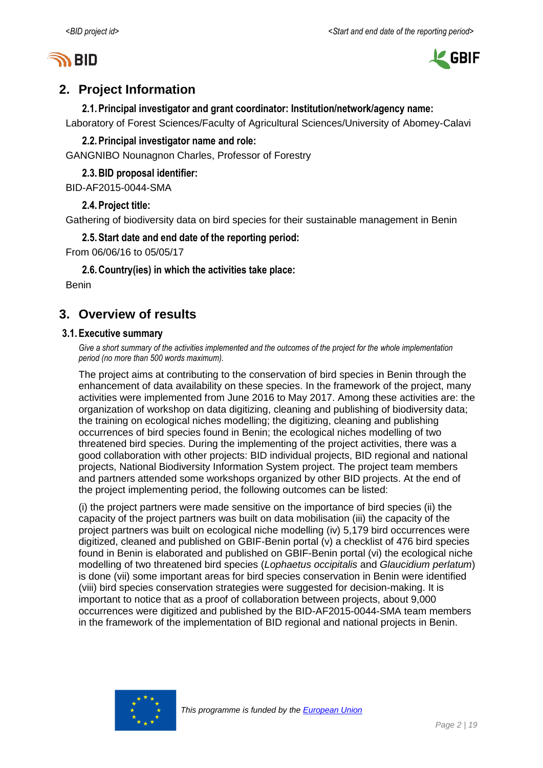



# <span id="page-1-0"></span>**2. Project Information**

**2.1.Principal investigator and grant coordinator: Institution/network/agency name:**

Laboratory of Forest Sciences/Faculty of Agricultural Sciences/University of Abomey-Calavi

# **2.2.Principal investigator name and role:**

GANGNIBO Nounagnon Charles, Professor of Forestry

**2.3.BID proposal identifier:**

BID-AF2015-0044-SMA

### **2.4.Project title:**

Gathering of biodiversity data on bird species for their sustainable management in Benin

# **2.5.Start date and end date of the reporting period:**

From 06/06/16 to 05/05/17

**2.6.Country(ies) in which the activities take place:**

Benin

# <span id="page-1-1"></span>**3. Overview of results**

### **3.1.Executive summary**

*Give a short summary of the activities implemented and the outcomes of the project for the whole implementation period (no more than 500 words maximum).*

The project aims at contributing to the conservation of bird species in Benin through the enhancement of data availability on these species. In the framework of the project, many activities were implemented from June 2016 to May 2017. Among these activities are: the organization of workshop on data digitizing, cleaning and publishing of biodiversity data; the training on ecological niches modelling; the digitizing, cleaning and publishing occurrences of bird species found in Benin; the ecological niches modelling of two threatened bird species. During the implementing of the project activities, there was a good collaboration with other projects: BID individual projects, BID regional and national projects, National Biodiversity Information System project. The project team members and partners attended some workshops organized by other BID projects. At the end of the project implementing period, the following outcomes can be listed:

(i) the project partners were made sensitive on the importance of bird species (ii) the capacity of the project partners was built on data mobilisation (iii) the capacity of the project partners was built on ecological niche modelling (iv) 5,179 bird occurrences were digitized, cleaned and published on GBIF-Benin portal (v) a checklist of 476 bird species found in Benin is elaborated and published on GBIF-Benin portal (vi) the ecological niche modelling of two threatened bird species (*Lophaetus occipitalis* and *Glaucidium perlatum*) is done (vii) some important areas for bird species conservation in Benin were identified (viii) bird species conservation strategies were suggested for decision-making. It is important to notice that as a proof of collaboration between projects, about 9,000 occurrences were digitized and published by the BID-AF2015-0044-SMA team members in the framework of the implementation of BID regional and national projects in Benin.

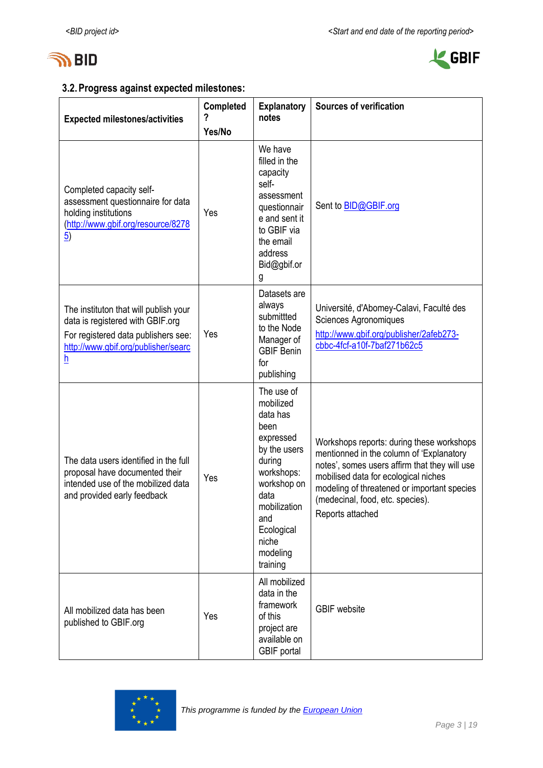



# **3.2.Progress against expected milestones:**

| <b>Expected milestones/activities</b>                                                                                                                                               | <b>Completed</b> | <b>Explanatory</b><br>notes                                                                                                                                                                   | <b>Sources of verification</b>                                                                                                                                                                                                                                                        |
|-------------------------------------------------------------------------------------------------------------------------------------------------------------------------------------|------------------|-----------------------------------------------------------------------------------------------------------------------------------------------------------------------------------------------|---------------------------------------------------------------------------------------------------------------------------------------------------------------------------------------------------------------------------------------------------------------------------------------|
|                                                                                                                                                                                     | Yes/No           |                                                                                                                                                                                               |                                                                                                                                                                                                                                                                                       |
| Completed capacity self-<br>assessment questionnaire for data<br>holding institutions<br>(http://www.gbif.org/resource/8278<br>$\overline{5})$                                      | Yes              | We have<br>filled in the<br>capacity<br>self-<br>assessment<br>questionnair<br>e and sent it<br>to GBIF via<br>the email<br>address<br>Bid@gbif.or<br>g                                       | Sent to <b>BID@GBIF.org</b>                                                                                                                                                                                                                                                           |
| The instituton that will publish your<br>data is registered with GBIF.org<br>For registered data publishers see:<br>http://www.gbif.org/publisher/searc<br>$\underline{\mathsf{h}}$ | Yes              | Datasets are<br>always<br>submittted<br>to the Node<br>Manager of<br><b>GBIF Benin</b><br>for<br>publishing                                                                                   | Université, d'Abomey-Calavi, Faculté des<br>Sciences Agronomiques<br>http://www.gbif.org/publisher/2afeb273-<br>cbbc-4fcf-a10f-7baf271b62c5                                                                                                                                           |
| The data users identified in the full<br>proposal have documented their<br>intended use of the mobilized data<br>and provided early feedback                                        | Yes              | The use of<br>mobilized<br>data has<br>been<br>expressed<br>by the users<br>during<br>workshops:<br>workshop on<br>data<br>mobilization<br>and<br>Ecological<br>niche<br>modeling<br>training | Workshops reports: during these workshops<br>mentionned in the column of 'Explanatory<br>notes', somes users affirm that they will use<br>mobilised data for ecological niches<br>modeling of threatened or important species<br>(medecinal, food, etc. species).<br>Reports attached |
| All mobilized data has been<br>published to GBIF.org                                                                                                                                | Yes              | All mobilized<br>data in the<br>framework<br>of this<br>project are<br>available on<br><b>GBIF</b> portal                                                                                     | <b>GBIF</b> website                                                                                                                                                                                                                                                                   |

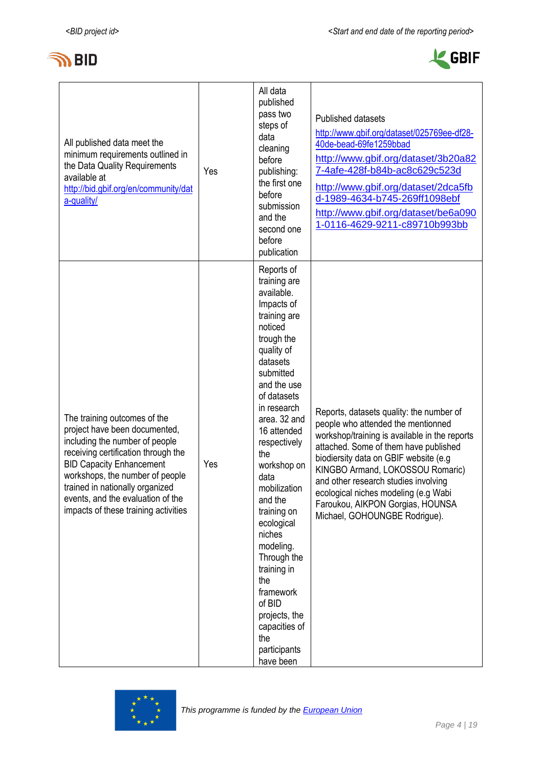

r



| All published data meet the<br>minimum requirements outlined in<br>the Data Quality Requirements<br>available at<br>http://bid.gbif.org/en/community/dat<br>a-quality/                                                                                                                                                       | Yes | All data<br>published<br>pass two<br>steps of<br>data<br>cleaning<br>before<br>publishing:<br>the first one<br>before<br>submission<br>and the<br>second one<br>before<br>publication                                                                                                                                                                                                                                                                                             | Published datasets<br>http://www.gbif.org/dataset/025769ee-df28-<br>40de-bead-69fe1259bbad<br>http://www.gbif.org/dataset/3b20a82<br>7-4afe-428f-b84b-ac8c629c523d<br>http://www.gbif.org/dataset/2dca5fb<br>d-1989-4634-b745-269ff1098ebf<br>http://www.gbif.org/dataset/be6a090<br>1-0116-4629-9211-c89710b993bb                                                                                         |
|------------------------------------------------------------------------------------------------------------------------------------------------------------------------------------------------------------------------------------------------------------------------------------------------------------------------------|-----|-----------------------------------------------------------------------------------------------------------------------------------------------------------------------------------------------------------------------------------------------------------------------------------------------------------------------------------------------------------------------------------------------------------------------------------------------------------------------------------|------------------------------------------------------------------------------------------------------------------------------------------------------------------------------------------------------------------------------------------------------------------------------------------------------------------------------------------------------------------------------------------------------------|
| The training outcomes of the<br>project have been documented,<br>including the number of people<br>receiving certification through the<br><b>BID Capacity Enhancement</b><br>workshops, the number of people<br>trained in nationally organized<br>events, and the evaluation of the<br>impacts of these training activities | Yes | Reports of<br>training are<br>available.<br>Impacts of<br>training are<br>noticed<br>trough the<br>quality of<br>datasets<br>submitted<br>and the use<br>of datasets<br>in research<br>area. 32 and<br>16 attended<br>respectively<br>the<br>workshop on<br>data<br>mobilization<br>and the<br>training on<br>ecological<br>niches<br>modeling.<br>Through the<br>training in<br>the<br>framework<br>of BID<br>projects, the<br>capacities of<br>the<br>participants<br>have been | Reports, datasets quality: the number of<br>people who attended the mentionned<br>workshop/training is available in the reports<br>attached. Some of them have published<br>biodiersity data on GBIF website (e.g<br>KINGBO Armand, LOKOSSOU Romaric)<br>and other research studies involving<br>ecological niches modeling (e.g Wabi<br>Faroukou, AIKPON Gorgias, HOUNSA<br>Michael, GOHOUNGBE Rodrigue). |

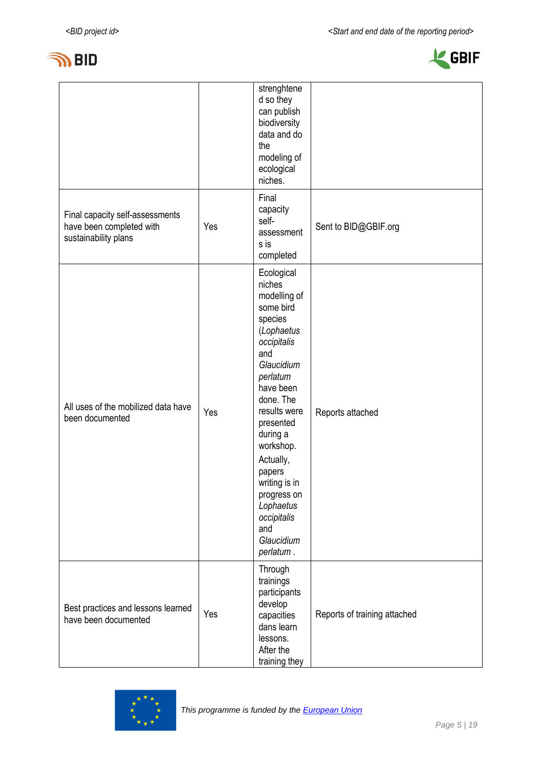



|                                                                                     |     | strenghtene<br>d so they<br>can publish<br>biodiversity<br>data and do<br>the<br>modeling of<br>ecological<br>niches.                                                                                                                                                                                                           |                              |
|-------------------------------------------------------------------------------------|-----|---------------------------------------------------------------------------------------------------------------------------------------------------------------------------------------------------------------------------------------------------------------------------------------------------------------------------------|------------------------------|
| Final capacity self-assessments<br>have been completed with<br>sustainability plans | Yes | Final<br>capacity<br>self-<br>assessment<br>s is<br>completed                                                                                                                                                                                                                                                                   | Sent to BID@GBIF.org         |
| All uses of the mobilized data have<br>been documented                              | Yes | Ecological<br>niches<br>modelling of<br>some bird<br>species<br>(Lophaetus<br>occipitalis<br>and<br>Glaucidium<br>perlatum<br>have been<br>done. The<br>results were<br>presented<br>during a<br>workshop.<br>Actually,<br>papers<br>writing is in<br>progress on<br>Lophaetus<br>occipitalis<br>and<br>Glaucidium<br>perlatum. | Reports attached             |
| Best practices and lessons learned<br>have been documented                          | Yes | Through<br>trainings<br>participants<br>develop<br>capacities<br>dans learn<br>lessons.<br>After the<br>training they                                                                                                                                                                                                           | Reports of training attached |

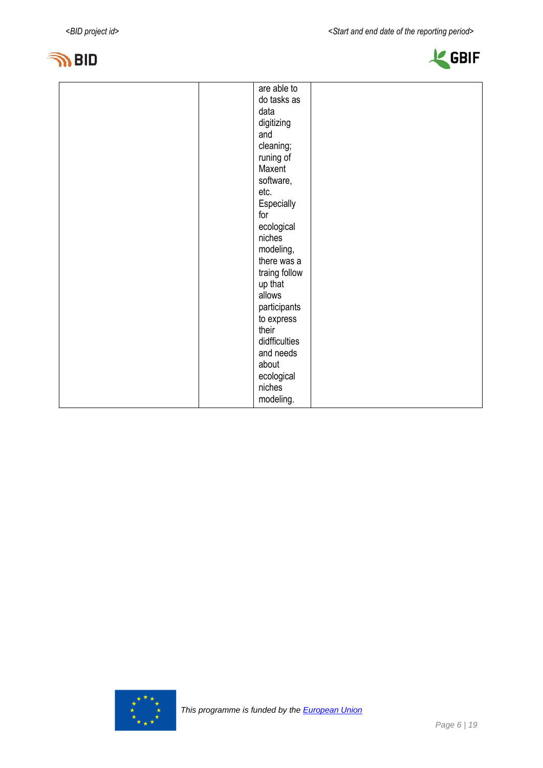



| are able to<br>do tasks as<br>data<br>digitizing<br>and<br>cleaning;<br>runing of<br>Maxent<br>software,<br>etc.<br>Especially<br>for<br>ecological<br>niches<br>modeling,<br>there was a<br>traing follow<br>up that<br>allows<br>participants<br>to express<br>their<br>didfficulties<br>and needs<br>about<br>ecological<br>niches |  |
|---------------------------------------------------------------------------------------------------------------------------------------------------------------------------------------------------------------------------------------------------------------------------------------------------------------------------------------|--|
|                                                                                                                                                                                                                                                                                                                                       |  |
|                                                                                                                                                                                                                                                                                                                                       |  |
|                                                                                                                                                                                                                                                                                                                                       |  |
|                                                                                                                                                                                                                                                                                                                                       |  |
|                                                                                                                                                                                                                                                                                                                                       |  |
|                                                                                                                                                                                                                                                                                                                                       |  |
|                                                                                                                                                                                                                                                                                                                                       |  |
|                                                                                                                                                                                                                                                                                                                                       |  |
|                                                                                                                                                                                                                                                                                                                                       |  |
|                                                                                                                                                                                                                                                                                                                                       |  |
|                                                                                                                                                                                                                                                                                                                                       |  |
|                                                                                                                                                                                                                                                                                                                                       |  |
|                                                                                                                                                                                                                                                                                                                                       |  |
|                                                                                                                                                                                                                                                                                                                                       |  |
|                                                                                                                                                                                                                                                                                                                                       |  |
|                                                                                                                                                                                                                                                                                                                                       |  |
|                                                                                                                                                                                                                                                                                                                                       |  |
|                                                                                                                                                                                                                                                                                                                                       |  |
|                                                                                                                                                                                                                                                                                                                                       |  |
|                                                                                                                                                                                                                                                                                                                                       |  |
|                                                                                                                                                                                                                                                                                                                                       |  |
|                                                                                                                                                                                                                                                                                                                                       |  |
|                                                                                                                                                                                                                                                                                                                                       |  |
|                                                                                                                                                                                                                                                                                                                                       |  |
|                                                                                                                                                                                                                                                                                                                                       |  |
|                                                                                                                                                                                                                                                                                                                                       |  |
|                                                                                                                                                                                                                                                                                                                                       |  |
|                                                                                                                                                                                                                                                                                                                                       |  |
| modeling.                                                                                                                                                                                                                                                                                                                             |  |

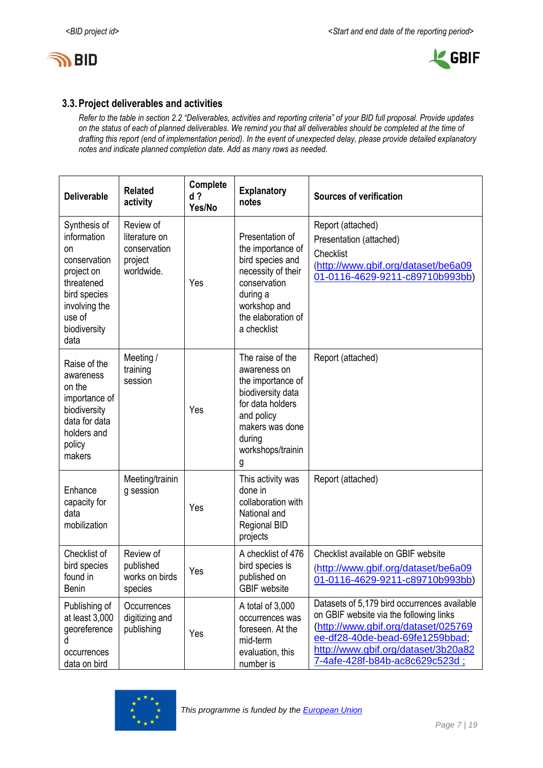



### **3.3.Project deliverables and activities**

*Refer to the table in section 2.2 "Deliverables, activities and reporting criteria" of your BID full proposal. Provide updates on the status of each of planned deliverables. We remind you that all deliverables should be completed at the time of drafting this report (end of implementation period). In the event of unexpected delay, please provide detailed explanatory notes and indicate planned completion date. Add as many rows as needed.*

| <b>Deliverable</b>                                                                                                                               | <b>Related</b><br>activity                                          | Complete<br>$d$ ?<br>Yes/No | <b>Explanatory</b><br>notes                                                                                                                                         | <b>Sources of verification</b>                                                                                                                                                                                                             |
|--------------------------------------------------------------------------------------------------------------------------------------------------|---------------------------------------------------------------------|-----------------------------|---------------------------------------------------------------------------------------------------------------------------------------------------------------------|--------------------------------------------------------------------------------------------------------------------------------------------------------------------------------------------------------------------------------------------|
| Synthesis of<br>information<br>on<br>conservation<br>project on<br>threatened<br>bird species<br>involving the<br>use of<br>biodiversity<br>data | Review of<br>literature on<br>conservation<br>project<br>worldwide. | Yes                         | Presentation of<br>the importance of<br>bird species and<br>necessity of their<br>conservation<br>during a<br>workshop and<br>the elaboration of<br>a checklist     | Report (attached)<br>Presentation (attached)<br>Checklist<br>(http://www.gbif.org/dataset/be6a09<br>01-0116-4629-9211-c89710b993bb)                                                                                                        |
| Raise of the<br>awareness<br>on the<br>importance of<br>biodiversity<br>data for data<br>holders and<br>policy<br>makers                         | Meeting /<br>training<br>session                                    | Yes                         | The raise of the<br>awareness on<br>the importance of<br>biodiversity data<br>for data holders<br>and policy<br>makers was done<br>during<br>workshops/trainin<br>g | Report (attached)                                                                                                                                                                                                                          |
| Enhance<br>capacity for<br>data<br>mobilization                                                                                                  | Meeting/trainin<br>g session                                        | Yes                         | This activity was<br>done in<br>collaboration with<br>National and<br><b>Regional BID</b><br>projects                                                               | Report (attached)                                                                                                                                                                                                                          |
| Checklist of<br>bird species<br>found in<br><b>Benin</b>                                                                                         | Review of<br>published<br>works on birds<br>species                 | Yes                         | A checklist of 476<br>bird species is<br>published on<br><b>GBIF</b> website                                                                                        | Checklist available on GBIF website<br>(http://www.gbif.org/dataset/be6a09<br>01-0116-4629-9211-c89710b993bb)                                                                                                                              |
| Publishing of<br>at least 3,000<br>georeference<br>d<br>occurrences<br>data on bird                                                              | Occurrences<br>digitizing and<br>publishing                         | Yes                         | A total of 3,000<br>occurrences was<br>foreseen. At the<br>mid-term<br>evaluation, this<br>number is                                                                | Datasets of 5,179 bird occurrences available<br>on GBIF website via the following links<br>(http://www.gbif.org/dataset/025769<br>ee-df28-40de-bead-69fe1259bbad;<br>http://www.gbif.org/dataset/3b20a82<br>7-4afe-428f-b84b-ac8c629c523d; |

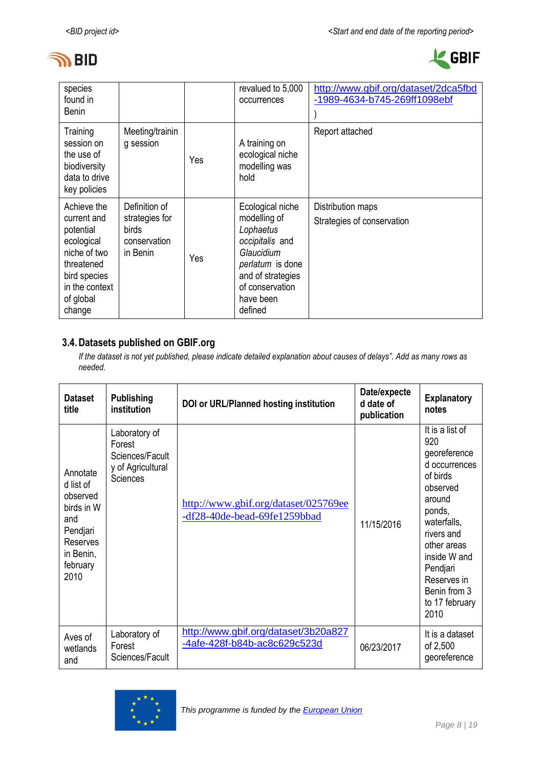



| species<br>found in<br><b>Benin</b>                                                                                                          |                                                                             |     | revalued to 5,000<br>occurrences                                                                                                                                   | http://www.gbif.org/dataset/2dca5fbd<br>-1989-4634-b745-269ff1098ebf |
|----------------------------------------------------------------------------------------------------------------------------------------------|-----------------------------------------------------------------------------|-----|--------------------------------------------------------------------------------------------------------------------------------------------------------------------|----------------------------------------------------------------------|
| Training<br>session on<br>the use of<br>biodiversity<br>data to drive<br>key policies                                                        | Meeting/trainin<br>g session                                                | Yes | A training on<br>ecological niche<br>modelling was<br>hold                                                                                                         | Report attached                                                      |
| Achieve the<br>current and<br>potential<br>ecological<br>niche of two<br>threatened<br>bird species<br>in the context<br>of global<br>change | Definition of<br>strategies for<br><b>birds</b><br>conservation<br>in Benin | Yes | Ecological niche<br>modelling of<br>Lophaetus<br>occipitalis and<br>Glaucidium<br>perlatum is done<br>and of strategies<br>of conservation<br>have been<br>defined | Distribution maps<br>Strategies of conservation                      |

### **3.4.Datasets published on GBIF.org**

*If the dataset is not yet published, please indicate detailed explanation about causes of delays". Add as many rows as needed.*

| <b>Dataset</b><br>title                                                                                         | <b>Publishing</b><br>institution                                                   | DOI or URL/Planned hosting institution                               | Date/expecte<br>d date of<br>publication | <b>Explanatory</b><br>notes                                                                                                                                                                                                          |
|-----------------------------------------------------------------------------------------------------------------|------------------------------------------------------------------------------------|----------------------------------------------------------------------|------------------------------------------|--------------------------------------------------------------------------------------------------------------------------------------------------------------------------------------------------------------------------------------|
| Annotate<br>d list of<br>observed<br>birds in W<br>and<br>Pendjari<br>Reserves<br>in Benin,<br>february<br>2010 | Laboratory of<br>Forest<br>Sciences/Facult<br>y of Agricultural<br><b>Sciences</b> | http://www.gbif.org/dataset/025769ee<br>-df28-40de-bead-69fe1259bbad | 11/15/2016                               | It is a list of<br>920<br>georeference<br>d occurrences<br>of birds<br>observed<br>around<br>ponds,<br>waterfalls,<br>rivers and<br>other areas<br>inside W and<br>Pendjari<br>Reserves in<br>Benin from 3<br>to 17 february<br>2010 |
| Aves of<br>wetlands<br>and                                                                                      | Laboratory of<br>Forest<br>Sciences/Facult                                         | http://www.gbif.org/dataset/3b20a827<br>-4afe-428f-b84b-ac8c629c523d | 06/23/2017                               | It is a dataset<br>of 2,500<br>georeference                                                                                                                                                                                          |

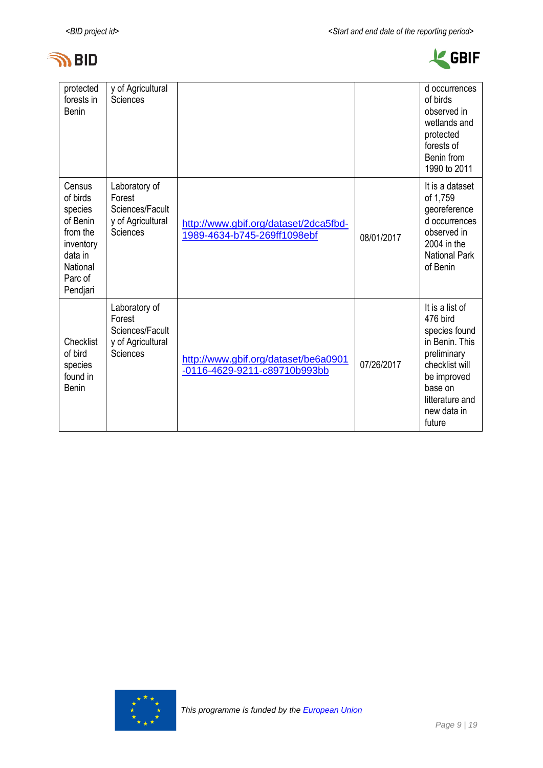



| protected<br>forests in<br><b>Benin</b>                                                                          | y of Agricultural<br>Sciences                                               |                                                                      |            | d occurrences<br>of birds<br>observed in<br>wetlands and<br>protected<br>forests of<br>Benin from<br>1990 to 2011                                                     |
|------------------------------------------------------------------------------------------------------------------|-----------------------------------------------------------------------------|----------------------------------------------------------------------|------------|-----------------------------------------------------------------------------------------------------------------------------------------------------------------------|
| Census<br>of birds<br>species<br>of Benin<br>from the<br>inventory<br>data in<br>National<br>Parc of<br>Pendjari | Laboratory of<br>Forest<br>Sciences/Facult<br>y of Agricultural<br>Sciences | http://www.gbif.org/dataset/2dca5fbd-<br>1989-4634-b745-269ff1098ebf | 08/01/2017 | It is a dataset<br>of 1,759<br>georeference<br>d occurrences<br>observed in<br>2004 in the<br><b>National Park</b><br>of Benin                                        |
| Checklist<br>of bird<br>species<br>found in<br><b>Benin</b>                                                      | Laboratory of<br>Forest<br>Sciences/Facult<br>y of Agricultural<br>Sciences | http://www.gbif.org/dataset/be6a0901<br>-0116-4629-9211-c89710b993bb | 07/26/2017 | It is a list of<br>476 bird<br>species found<br>in Benin. This<br>preliminary<br>checklist will<br>be improved<br>base on<br>litterature and<br>new data in<br>future |

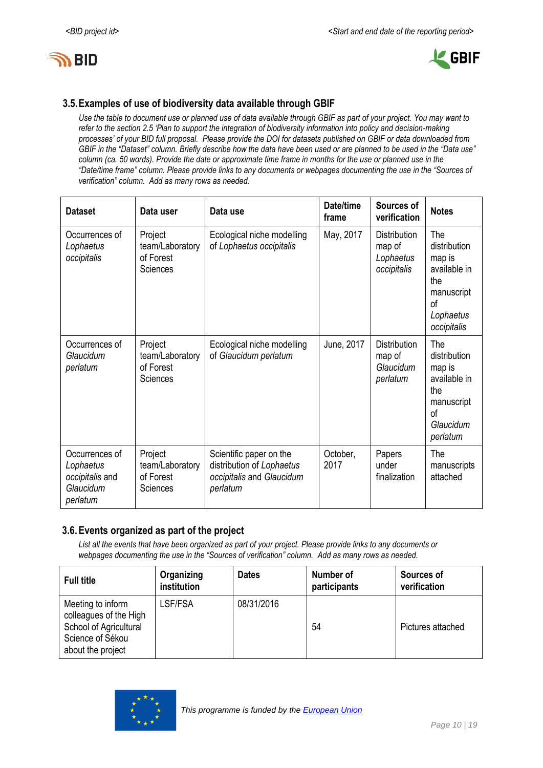



### **3.5.Examples of use of biodiversity data available through GBIF**

*Use the table to document use or planned use of data available through GBIF as part of your project. You may want to refer to the section 2.5 'Plan to support the integration of biodiversity information into policy and decision-making processes' of your BID full proposal. Please provide the DOI for datasets published on GBIF or data downloaded from GBIF in the "Dataset" column. Briefly describe how the data have been used or are planned to be used in the "Data use" column (ca. 50 words). Provide the date or approximate time frame in months for the use or planned use in the "Date/time frame" column. Please provide links to any documents or webpages documenting the use in the "Sources of verification" column. Add as many rows as needed.*

| <b>Dataset</b>                                                          | Data user                                           | Data use                                                                                      | Date/time<br>frame | Sources of<br>verification                                | <b>Notes</b>                                                                                                 |
|-------------------------------------------------------------------------|-----------------------------------------------------|-----------------------------------------------------------------------------------------------|--------------------|-----------------------------------------------------------|--------------------------------------------------------------------------------------------------------------|
| Occurrences of<br>Lophaetus<br>occipitalis                              | Project<br>team/Laboratory<br>of Forest<br>Sciences | Ecological niche modelling<br>of Lophaetus occipitalis                                        | May, 2017          | <b>Distribution</b><br>map of<br>Lophaetus<br>occipitalis | The<br>distribution<br>map is<br>available in<br>the<br>manuscript<br>of<br>Lophaetus<br>occipitalis         |
| Occurrences of<br>Glaucidum<br>perlatum                                 | Project<br>team/Laboratory<br>of Forest<br>Sciences | Ecological niche modelling<br>of Glaucidum perlatum                                           | June, 2017         | <b>Distribution</b><br>map of<br>Glaucidum<br>perlatum    | The<br>distribution<br>map is<br>available in<br>the<br>manuscript<br><sub>of</sub><br>Glaucidum<br>perlatum |
| Occurrences of<br>Lophaetus<br>occipitalis and<br>Glaucidum<br>perlatum | Project<br>team/Laboratory<br>of Forest<br>Sciences | Scientific paper on the<br>distribution of Lophaetus<br>occipitalis and Glaucidum<br>perlatum | October,<br>2017   | Papers<br>under<br>finalization                           | The<br>manuscripts<br>attached                                                                               |

### **3.6.Events organized as part of the project**

*List all the events that have been organized as part of your project. Please provide links to any documents or webpages documenting the use in the "Sources of verification" column. Add as many rows as needed.*

| <b>Full title</b>                                                                                              | Organizing<br>institution | <b>Dates</b> | Number of<br>participants | Sources of<br>verification |
|----------------------------------------------------------------------------------------------------------------|---------------------------|--------------|---------------------------|----------------------------|
| Meeting to inform<br>colleagues of the High<br>School of Agricultural<br>Science of Sékou<br>about the project | LSF/FSA                   | 08/31/2016   | 54                        | Pictures attached          |

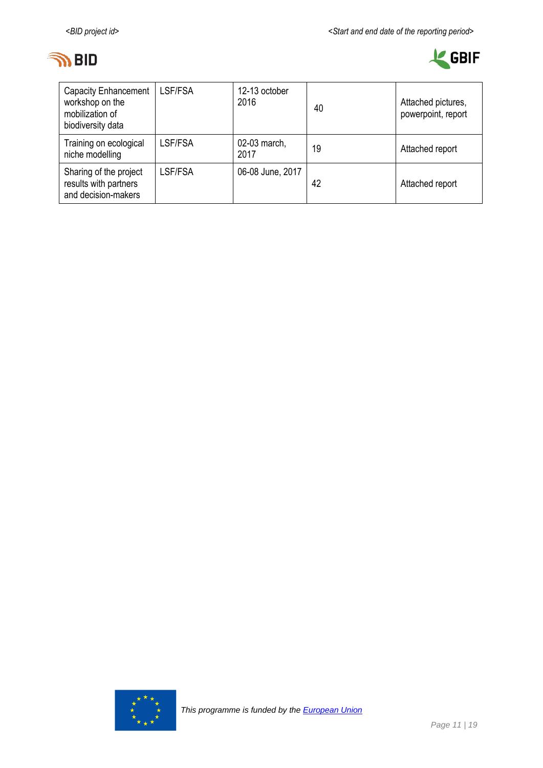



| <b>Capacity Enhancement</b><br>workshop on the<br>mobilization of<br>biodiversity data | LSF/FSA | 12-13 october<br>2016 | 40 | Attached pictures,<br>powerpoint, report |
|----------------------------------------------------------------------------------------|---------|-----------------------|----|------------------------------------------|
| Training on ecological<br>niche modelling                                              | LSF/FSA | 02-03 march,<br>2017  | 19 | Attached report                          |
| Sharing of the project<br>results with partners<br>and decision-makers                 | LSF/FSA | 06-08 June, 2017      | 42 | Attached report                          |

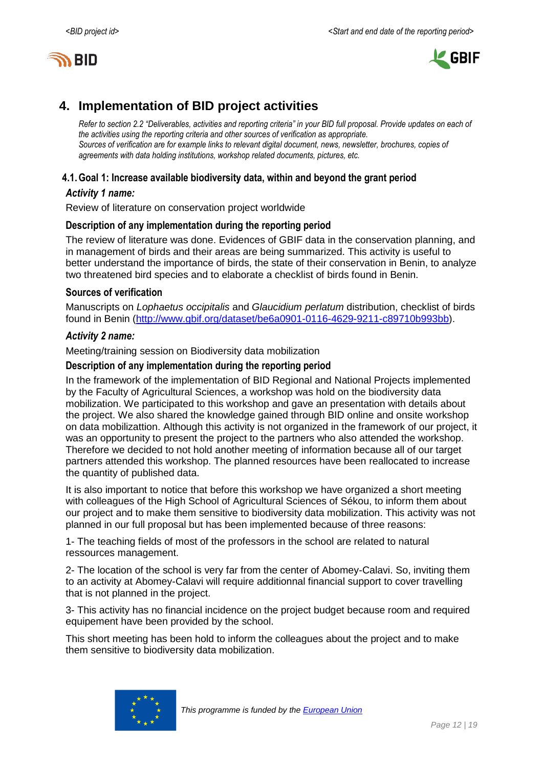



# <span id="page-11-0"></span>**4. Implementation of BID project activities**

*Refer to section 2.2 "Deliverables, activities and reporting criteria" in your BID full proposal. Provide updates on each of the activities using the reporting criteria and other sources of verification as appropriate. Sources of verification are for example links to relevant digital document, news, newsletter, brochures, copies of agreements with data holding institutions, workshop related documents, pictures, etc.*

#### **4.1.Goal 1: Increase available biodiversity data, within and beyond the grant period**

#### *Activity 1 name:*

Review of literature on conservation project worldwide

#### **Description of any implementation during the reporting period**

The review of literature was done. Evidences of GBIF data in the conservation planning, and in management of birds and their areas are being summarized. This activity is useful to better understand the importance of birds, the state of their conservation in Benin, to analyze two threatened bird species and to elaborate a checklist of birds found in Benin.

#### **Sources of verification**

Manuscripts on *Lophaetus occipitalis* and *Glaucidium perlatum* distribution, checklist of birds found in Benin [\(http://www.gbif.org/dataset/be6a0901-0116-4629-9211-c89710b993bb\)](http://www.gbif.org/dataset/be6a0901-0116-4629-9211-c89710b993bb).

#### *Activity 2 name:*

Meeting/training session on Biodiversity data mobilization

#### **Description of any implementation during the reporting period**

In the framework of the implementation of BID Regional and National Projects implemented by the Faculty of Agricultural Sciences, a workshop was hold on the biodiversity data mobilization. We participated to this workshop and gave an presentation with details about the project. We also shared the knowledge gained through BID online and onsite workshop on data mobilizattion. Although this activity is not organized in the framework of our project, it was an opportunity to present the project to the partners who also attended the workshop. Therefore we decided to not hold another meeting of information because all of our target partners attended this workshop. The planned resources have been reallocated to increase the quantity of published data.

It is also important to notice that before this workshop we have organized a short meeting with colleagues of the High School of Agricultural Sciences of Sékou, to inform them about our project and to make them sensitive to biodiversity data mobilization. This activity was not planned in our full proposal but has been implemented because of three reasons:

1- The teaching fields of most of the professors in the school are related to natural ressources management.

2- The location of the school is very far from the center of Abomey-Calavi. So, inviting them to an activity at Abomey-Calavi will require additionnal financial support to cover travelling that is not planned in the project.

3- This activity has no financial incidence on the project budget because room and required equipement have been provided by the school.

This short meeting has been hold to inform the colleagues about the project and to make them sensitive to biodiversity data mobilization.

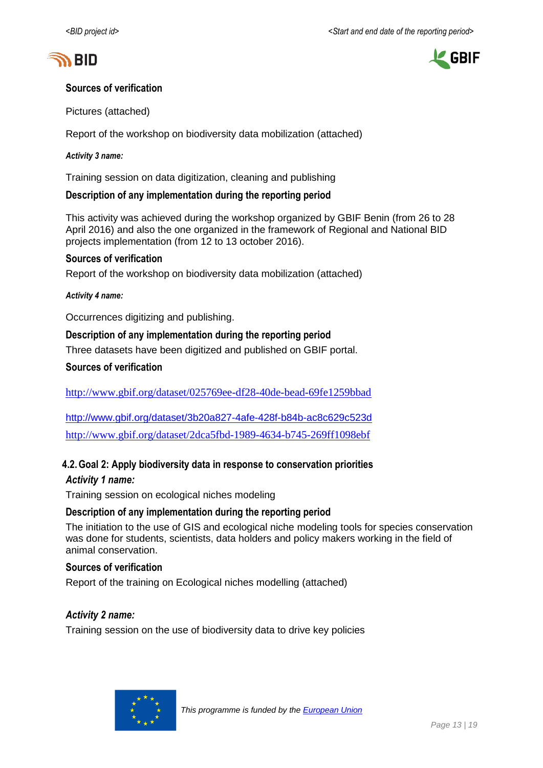



### **Sources of verification**

Pictures (attached)

Report of the workshop on biodiversity data mobilization (attached)

#### *Activity 3 name:*

Training session on data digitization, cleaning and publishing

#### **Description of any implementation during the reporting period**

This activity was achieved during the workshop organized by GBIF Benin (from 26 to 28 April 2016) and also the one organized in the framework of Regional and National BID projects implementation (from 12 to 13 october 2016).

#### **Sources of verification**

Report of the workshop on biodiversity data mobilization (attached)

#### *Activity 4 name:*

Occurrences digitizing and publishing.

#### **Description of any implementation during the reporting period**

Three datasets have been digitized and published on GBIF portal.

#### **Sources of verification**

<http://www.gbif.org/dataset/025769ee-df28-40de-bead-69fe1259bbad>

<http://www.gbif.org/dataset/3b20a827-4afe-428f-b84b-ac8c629c523d> <http://www.gbif.org/dataset/2dca5fbd-1989-4634-b745-269ff1098ebf>

### **4.2.Goal 2: Apply biodiversity data in response to conservation priorities** *Activity 1 name:*

Training session on ecological niches modeling

#### **Description of any implementation during the reporting period**

The initiation to the use of GIS and ecological niche modeling tools for species conservation was done for students, scientists, data holders and policy makers working in the field of animal conservation.

#### **Sources of verification**

Report of the training on Ecological niches modelling (attached)

#### *Activity 2 name:*

Training session on the use of biodiversity data to drive key policies

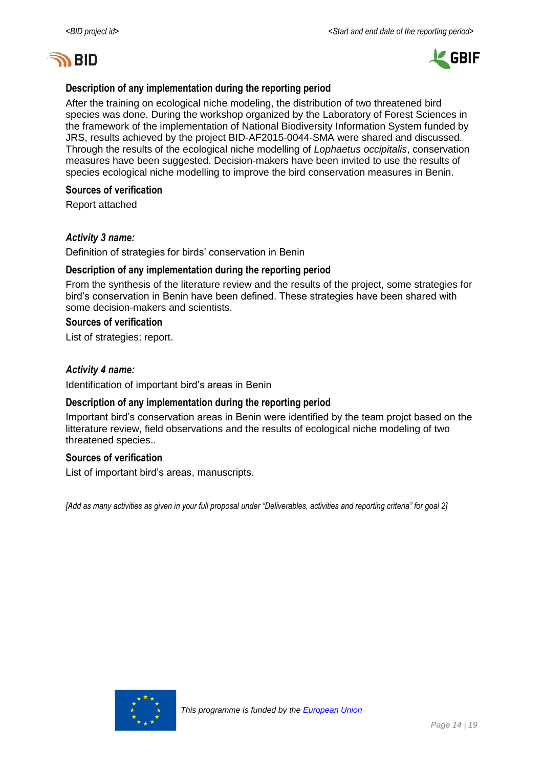



#### **Description of any implementation during the reporting period**

After the training on ecological niche modeling, the distribution of two threatened bird species was done. During the workshop organized by the Laboratory of Forest Sciences in the framework of the implementation of National Biodiversity Information System funded by JRS, results achieved by the project BID-AF2015-0044-SMA were shared and discussed. Through the results of the ecological niche modelling of *Lophaetus occipitalis*, conservation measures have been suggested. Decision-makers have been invited to use the results of species ecological niche modelling to improve the bird conservation measures in Benin.

#### **Sources of verification**

Report attached

#### *Activity 3 name:*

Definition of strategies for birds' conservation in Benin

#### **Description of any implementation during the reporting period**

From the synthesis of the literature review and the results of the project, some strategies for bird's conservation in Benin have been defined. These strategies have been shared with some decision-makers and scientists.

#### **Sources of verification**

List of strategies; report.

#### *Activity 4 name:*

Identification of important bird's areas in Benin

#### **Description of any implementation during the reporting period**

Important bird's conservation areas in Benin were identified by the team projct based on the litterature review, field observations and the results of ecological niche modeling of two threatened species..

#### **Sources of verification**

List of important bird's areas, manuscripts.

*[Add as many activities as given in your full proposal under "Deliverables, activities and reporting criteria" for goal 2]*

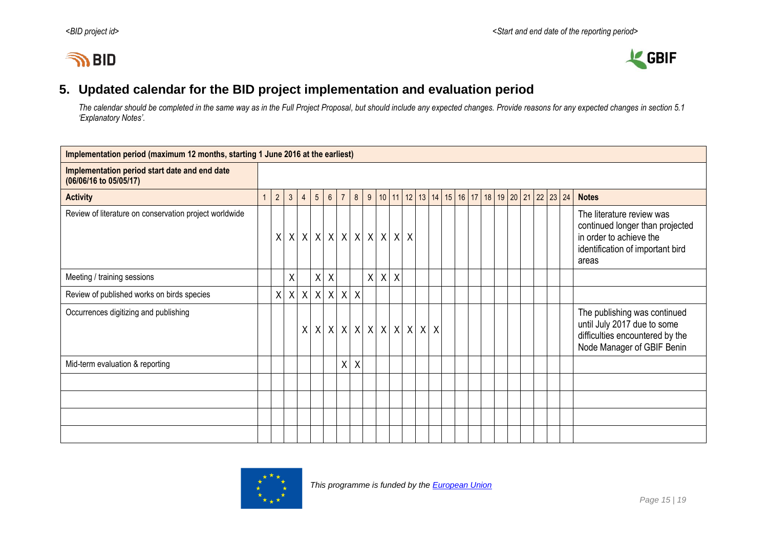# **IN BID**



# **5. Updated calendar for the BID project implementation and evaluation period**

*The calendar should be completed in the same way as in the Full Project Proposal, but should include any expected changes. Provide reasons for any expected changes in section 5.1 'Explanatory Notes'.*

<span id="page-14-0"></span>

| Implementation period (maximum 12 months, starting 1 June 2016 at the earliest) |                |                |              |                |                                       |                           |                |                           |  |         |                  |                  |              |                           |  |  |  |  |                                                                                |                                                                                                                                      |
|---------------------------------------------------------------------------------|----------------|----------------|--------------|----------------|---------------------------------------|---------------------------|----------------|---------------------------|--|---------|------------------|------------------|--------------|---------------------------|--|--|--|--|--------------------------------------------------------------------------------|--------------------------------------------------------------------------------------------------------------------------------------|
| Implementation period start date and end date<br>(06/06/16 to 05/05/17)         |                |                |              |                |                                       |                           |                |                           |  |         |                  |                  |              |                           |  |  |  |  |                                                                                |                                                                                                                                      |
| <b>Activity</b>                                                                 | $\overline{1}$ | $\overline{2}$ | $\mathbf{3}$ | $\overline{4}$ | $5\phantom{.0}$                       | $6\phantom{.}6$           | $\overline{7}$ | 8                         |  |         |                  |                  |              |                           |  |  |  |  | $9   10   11   12   13   14   15   16   17   18   19   20   21   22   23   24$ | <b>Notes</b>                                                                                                                         |
| Review of literature on conservation project worldwide                          |                | X              |              |                | x   x   x   x   x   x   x   x   x   x |                           |                |                           |  |         |                  |                  |              |                           |  |  |  |  |                                                                                | The literature review was<br>continued longer than projected<br>in order to achieve the<br>identification of important bird<br>areas |
| Meeting / training sessions                                                     |                |                | X            |                | X                                     | $\boldsymbol{\mathsf{X}}$ |                |                           |  | $\sf X$ | $\boldsymbol{X}$ | $\boldsymbol{X}$ |              |                           |  |  |  |  |                                                                                |                                                                                                                                      |
| Review of published works on birds species                                      |                | X              | X            | X              |                                       | x   x   x                 |                | $\boldsymbol{\mathsf{X}}$ |  |         |                  |                  |              |                           |  |  |  |  |                                                                                |                                                                                                                                      |
| Occurrences digitizing and publishing                                           |                |                |              |                | x   x   x   x   x   x   x   x   x   x |                           |                |                           |  |         |                  |                  | $\mathsf{X}$ | $\boldsymbol{\mathsf{X}}$ |  |  |  |  |                                                                                | The publishing was continued<br>until July 2017 due to some<br>difficulties encountered by the<br>Node Manager of GBIF Benin         |
| Mid-term evaluation & reporting                                                 |                |                |              |                |                                       |                           | χ              | X                         |  |         |                  |                  |              |                           |  |  |  |  |                                                                                |                                                                                                                                      |
|                                                                                 |                |                |              |                |                                       |                           |                |                           |  |         |                  |                  |              |                           |  |  |  |  |                                                                                |                                                                                                                                      |
|                                                                                 |                |                |              |                |                                       |                           |                |                           |  |         |                  |                  |              |                           |  |  |  |  |                                                                                |                                                                                                                                      |
|                                                                                 |                |                |              |                |                                       |                           |                |                           |  |         |                  |                  |              |                           |  |  |  |  |                                                                                |                                                                                                                                      |
|                                                                                 |                |                |              |                |                                       |                           |                |                           |  |         |                  |                  |              |                           |  |  |  |  |                                                                                |                                                                                                                                      |

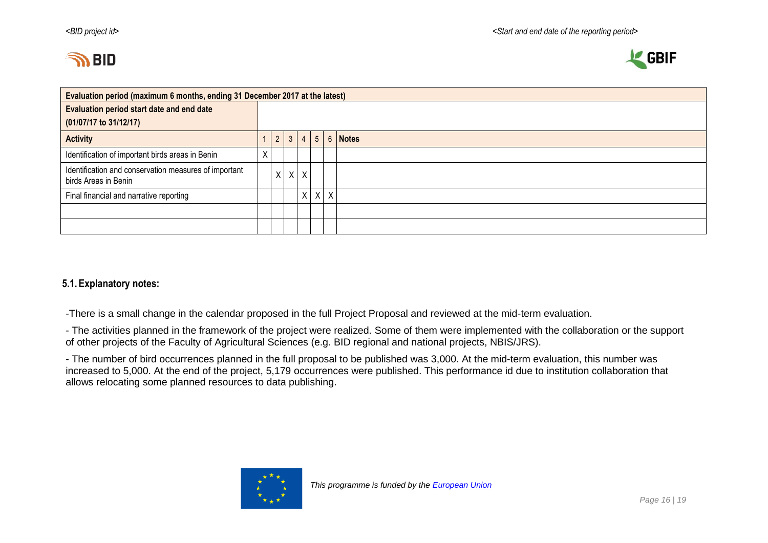



| Evaluation period (maximum 6 months, ending 31 December 2017 at the latest)   |             |             |          |                 |  |         |                       |  |  |  |  |
|-------------------------------------------------------------------------------|-------------|-------------|----------|-----------------|--|---------|-----------------------|--|--|--|--|
| Evaluation period start date and end date                                     |             |             |          |                 |  |         |                       |  |  |  |  |
| (01/07/17 to 31/12/17)                                                        |             |             |          |                 |  |         |                       |  |  |  |  |
| <b>Activity</b>                                                               |             | $2^{\circ}$ |          | $3 \mid 4 \mid$ |  |         | $5 \mid 6 \mid$ Notes |  |  |  |  |
| Identification of important birds areas in Benin                              | v<br>$\sim$ |             |          |                 |  |         |                       |  |  |  |  |
| Identification and conservation measures of important<br>birds Areas in Benin |             | X           | $\times$ | $\sf X$         |  |         |                       |  |  |  |  |
| Final financial and narrative reporting                                       |             |             |          | $\mathsf{X}$    |  | $X$ $X$ |                       |  |  |  |  |
|                                                                               |             |             |          |                 |  |         |                       |  |  |  |  |
|                                                                               |             |             |          |                 |  |         |                       |  |  |  |  |

### **5.1.Explanatory notes:**

-There is a small change in the calendar proposed in the full Project Proposal and reviewed at the mid-term evaluation.

- The activities planned in the framework of the project were realized. Some of them were implemented with the collaboration or the support of other projects of the Faculty of Agricultural Sciences (e.g. BID regional and national projects, NBIS/JRS).

- The number of bird occurrences planned in the full proposal to be published was 3,000. At the mid-term evaluation, this number was increased to 5,000. At the end of the project, 5,179 occurrences were published. This performance id due to institution collaboration that allows relocating some planned resources to data publishing.

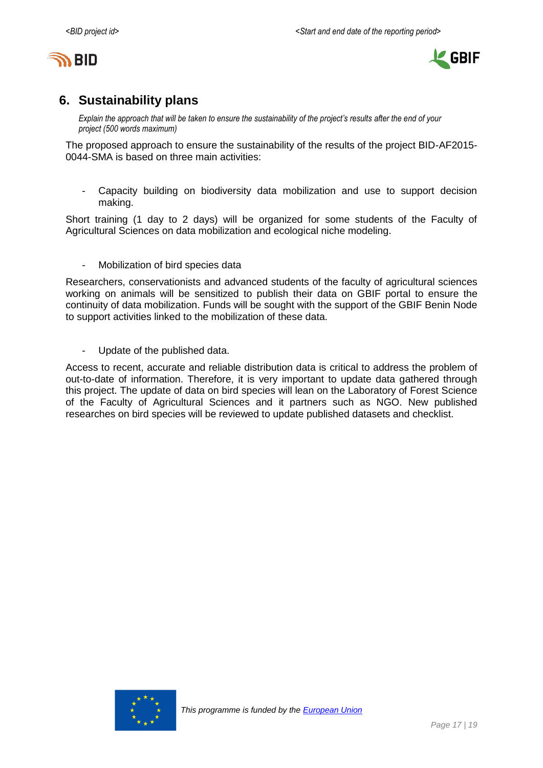



# <span id="page-16-0"></span>**6. Sustainability plans**

*Explain the approach that will be taken to ensure the sustainability of the project's results after the end of your project (500 words maximum)*

The proposed approach to ensure the sustainability of the results of the project BID-AF2015- 0044-SMA is based on three main activities:

- Capacity building on biodiversity data mobilization and use to support decision making.

Short training (1 day to 2 days) will be organized for some students of the Faculty of Agricultural Sciences on data mobilization and ecological niche modeling.

Mobilization of bird species data

Researchers, conservationists and advanced students of the faculty of agricultural sciences working on animals will be sensitized to publish their data on GBIF portal to ensure the continuity of data mobilization. Funds will be sought with the support of the GBIF Benin Node to support activities linked to the mobilization of these data.

- Update of the published data.

Access to recent, accurate and reliable distribution data is critical to address the problem of out-to-date of information. Therefore, it is very important to update data gathered through this project. The update of data on bird species will lean on the Laboratory of Forest Science of the Faculty of Agricultural Sciences and it partners such as NGO. New published researches on bird species will be reviewed to update published datasets and checklist.

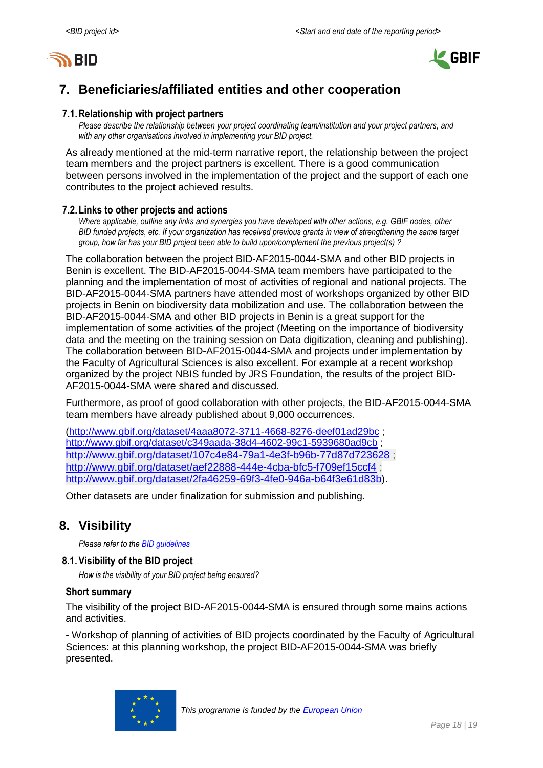



# <span id="page-17-0"></span>**7. Beneficiaries/affiliated entities and other cooperation**

#### **7.1.Relationship with project partners**

*Please describe the relationship between your project coordinating team/institution and your project partners, and with any other organisations involved in implementing your BID project.*

As already mentioned at the mid-term narrative report, the relationship between the project team members and the project partners is excellent. There is a good communication between persons involved in the implementation of the project and the support of each one contributes to the project achieved results.

#### **7.2.Links to other projects and actions**

*Where applicable, outline any links and synergies you have developed with other actions, e.g. GBIF nodes, other BID funded projects, etc. If your organization has received previous grants in view of strengthening the same target group, how far has your BID project been able to build upon/complement the previous project(s) ?*

The collaboration between the project BID-AF2015-0044-SMA and other BID projects in Benin is excellent. The BID-AF2015-0044-SMA team members have participated to the planning and the implementation of most of activities of regional and national projects. The BID-AF2015-0044-SMA partners have attended most of workshops organized by other BID projects in Benin on biodiversity data mobilization and use. The collaboration between the BID-AF2015-0044-SMA and other BID projects in Benin is a great support for the implementation of some activities of the project (Meeting on the importance of biodiversity data and the meeting on the training session on Data digitization, cleaning and publishing). The collaboration between BID-AF2015-0044-SMA and projects under implementation by the Faculty of Agricultural Sciences is also excellent. For example at a recent workshop organized by the project NBIS funded by JRS Foundation, the results of the project BID-AF2015-0044-SMA were shared and discussed.

Furthermore, as proof of good collaboration with other projects, the BID-AF2015-0044-SMA team members have already published about 9,000 occurrences.

[\(http://www.gbif.org/dataset/4aaa8072-3711-4668-8276-deef01ad29bc](http://www.gbif.org/dataset/4aaa8072-3711-4668-8276-deef01ad29bc) ; <http://www.gbif.org/dataset/c349aada-38d4-4602-99c1-5939680ad9cb> ; <http://www.gbif.org/dataset/107c4e84-79a1-4e3f-b96b-77d87d723628> ; <http://www.gbif.org/dataset/aef22888-444e-4cba-bfc5-f709ef15ccf4> ; <http://www.gbif.org/dataset/2fa46259-69f3-4fe0-946a-b64f3e61d83b>).

Other datasets are under finalization for submission and publishing.

# <span id="page-17-1"></span>**8. Visibility**

*Please refer to th[e BID guidelines](http://bid.gbif.org/en/community/communication-guidelines/)*

#### **8.1.Visibility of the BID project**

*How is the visibility of your BID project being ensured?*

#### **Short summary**

The visibility of the project BID-AF2015-0044-SMA is ensured through some mains actions and activities.

- Workshop of planning of activities of BID projects coordinated by the Faculty of Agricultural Sciences: at this planning workshop, the project BID-AF2015-0044-SMA was briefly presented.